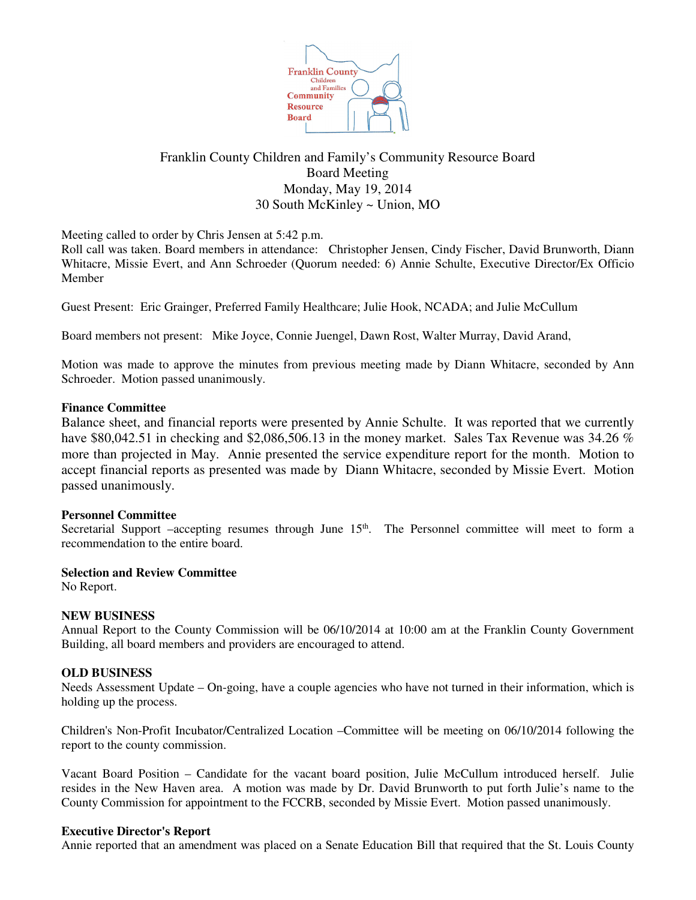

# Franklin County Children and Family's Community Resource Board Board Meeting Monday, May 19, 2014 30 South McKinley ~ Union, MO

Meeting called to order by Chris Jensen at 5:42 p.m.

Roll call was taken. Board members in attendance: Christopher Jensen, Cindy Fischer, David Brunworth, Diann Whitacre, Missie Evert, and Ann Schroeder (Quorum needed: 6) Annie Schulte, Executive Director/Ex Officio Member

Guest Present: Eric Grainger, Preferred Family Healthcare; Julie Hook, NCADA; and Julie McCullum

Board members not present: Mike Joyce, Connie Juengel, Dawn Rost, Walter Murray, David Arand,

Motion was made to approve the minutes from previous meeting made by Diann Whitacre, seconded by Ann Schroeder. Motion passed unanimously.

#### **Finance Committee**

Balance sheet, and financial reports were presented by Annie Schulte. It was reported that we currently have \$80,042.51 in checking and \$2,086,506.13 in the money market. Sales Tax Revenue was 34.26 % more than projected in May. Annie presented the service expenditure report for the month. Motion to accept financial reports as presented was made by Diann Whitacre, seconded by Missie Evert. Motion passed unanimously.

## **Personnel Committee**

Secretarial Support –accepting resumes through June 15<sup>th</sup>. The Personnel committee will meet to form a recommendation to the entire board.

**Selection and Review Committee** 

No Report.

## **NEW BUSINESS**

Annual Report to the County Commission will be 06/10/2014 at 10:00 am at the Franklin County Government Building, all board members and providers are encouraged to attend.

## **OLD BUSINESS**

Needs Assessment Update – On-going, have a couple agencies who have not turned in their information, which is holding up the process.

Children's Non-Profit Incubator/Centralized Location –Committee will be meeting on 06/10/2014 following the report to the county commission.

Vacant Board Position – Candidate for the vacant board position, Julie McCullum introduced herself. Julie resides in the New Haven area. A motion was made by Dr. David Brunworth to put forth Julie's name to the County Commission for appointment to the FCCRB, seconded by Missie Evert. Motion passed unanimously.

#### **Executive Director's Report**

Annie reported that an amendment was placed on a Senate Education Bill that required that the St. Louis County